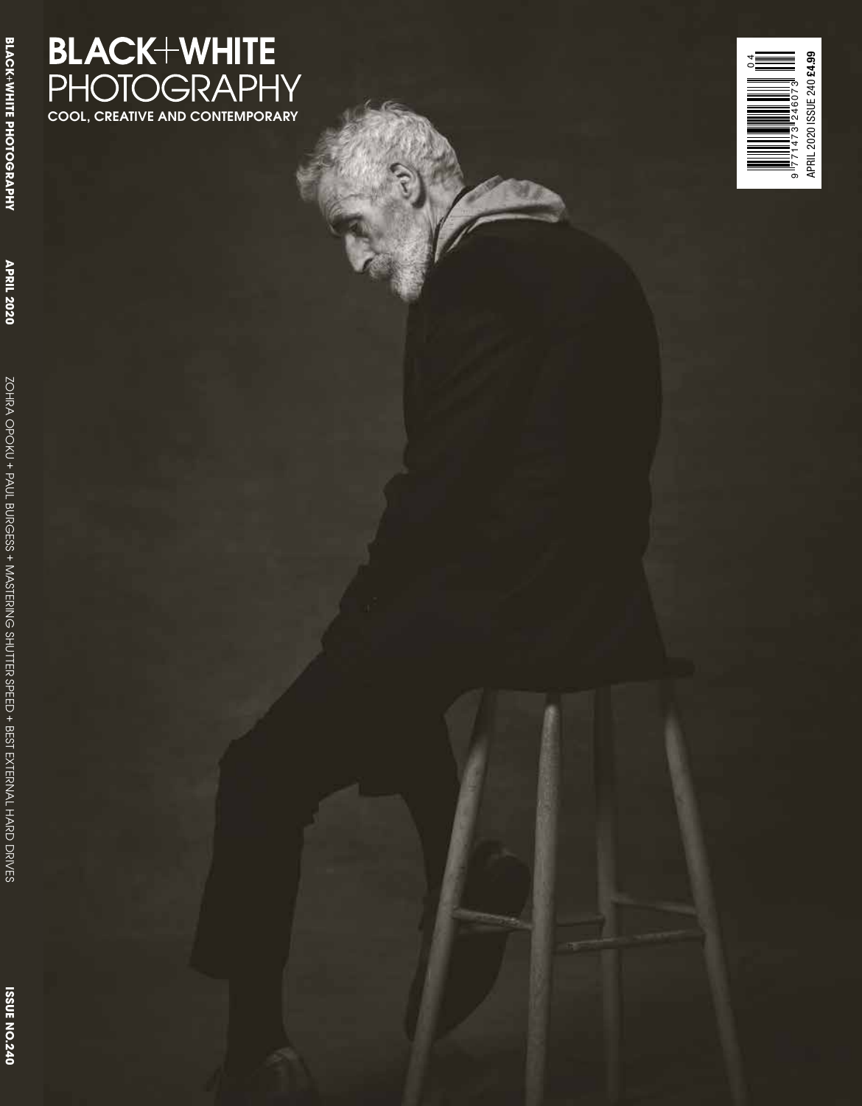## **BLACK+WHITE**<br>PHOTOGRAPHY<br>cool, creative and contemporary

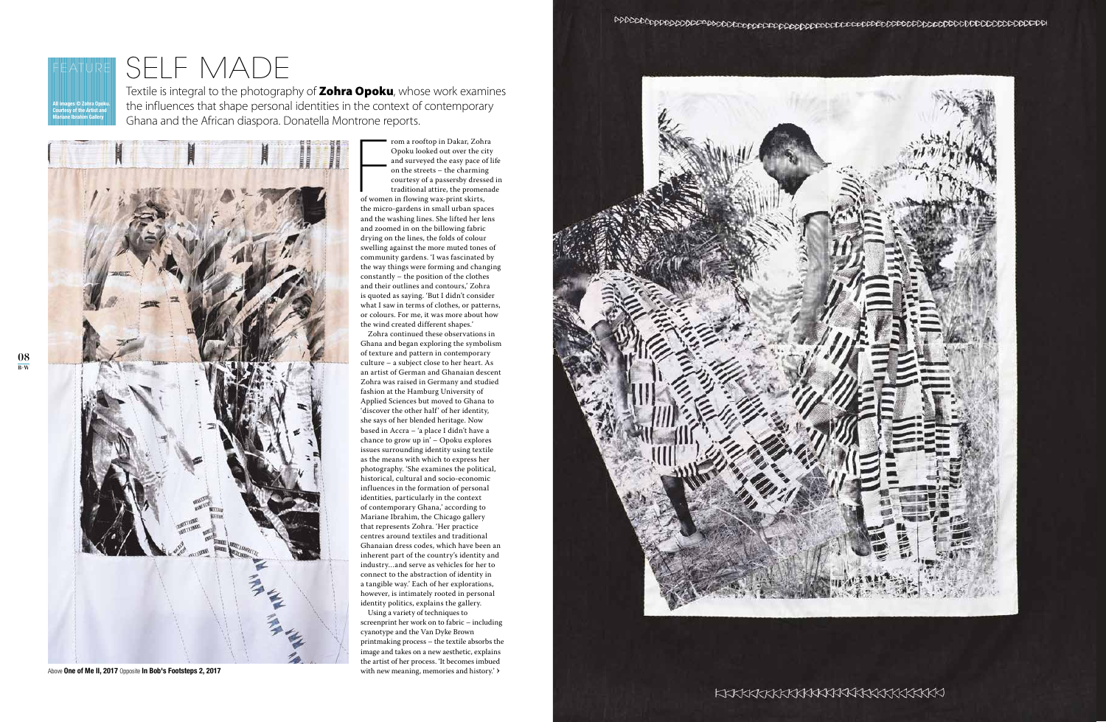## $\overline{\text{SELE}} \cap \text{MADE}$ <br>Textile is integral to the photography of **Zohra Opoku**, whose work examines

the influences that shape personal identities in the context of contemporary Ghana and the African diaspora. Donatella Montrone reports.



Above **One of Me II, 2017** Opposite **In Bob's Footsteps 2, 2017**



Fall of women rom a rooftop in Dakar, Zohra Opoku looked out over the city and surveyed the easy pace of life on the streets – the charming courtesy of a passersby dressed in traditional attire, the promenade of women in flowing wax-print skirts, the micro-gardens in small urban spaces and the washing lines. She lifted her lens and zoomed in on the billowing fabric drying on the lines, the folds of colour swelling against the more muted tones of community gardens. 'I was fascinated by the way things were forming and changing constantly – the position of the clothes and their outlines and contours,' Zohra is quoted as saying. 'But I didn't consider what I saw in terms of clothes, or patterns, or colours. For me, it was more about how the wind created different shapes.'

Using a variety of techniques to screenprint her work on to fabric – including cyanotype and the Van Dyke Brown printmaking process – the textile absorbs the image and takes on a new aesthetic, explains the artist of her process. 'It becomes imbued with new meaning, memories and history.'  $\rangle$ 



Zohra continued these observations in Ghana and began exploring the symbolism of texture and pattern in contemporary culture – a subject close to her heart. As an artist of German and Ghanaian descent Zohra was raised in Germany and studied fashion at the Hamburg University of Applied Sciences but moved to Ghana to 'discover the other half' of her identity, she says of her blended heritage. Now based in Accra – 'a place I didn't have a chance to grow up in' – Opoku explores issues surrounding identity using textile as the means with which to express her photography. 'She examines the political, historical, cultural and socio-economic influences in the formation of personal identities, particularly in the context of contemporary Ghana,' according to Mariane Ibrahim, the Chicago gallery that represents Zohra. 'Her practice centres around textiles and traditional Ghanaian dress codes, which have been an inherent part of the country's identity and industry…and serve as vehicles for her to connect to the abstraction of identity in a tangible way.' Each of her explorations, however, is intimately rooted in personal identity politics, explains the gallery.

**All images © Zohra Opoku. Courtesy of the Artist and Mariane Ibrahim Gallery**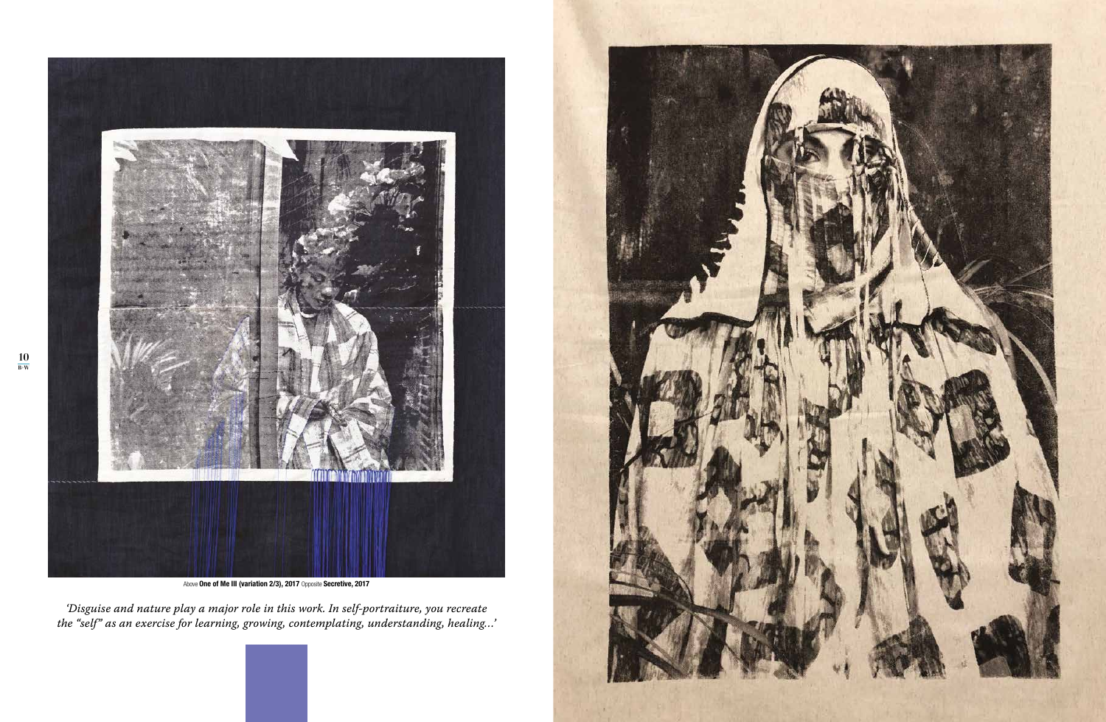

Above **One of Me III (variation 2/3), 2017** Opposite **Secretive, 2017**

*'Disguise and nature play a major role in this work. In self-portraiture, you recreate the "self" as an exercise for learning, growing, contemplating, understanding, healing…'*



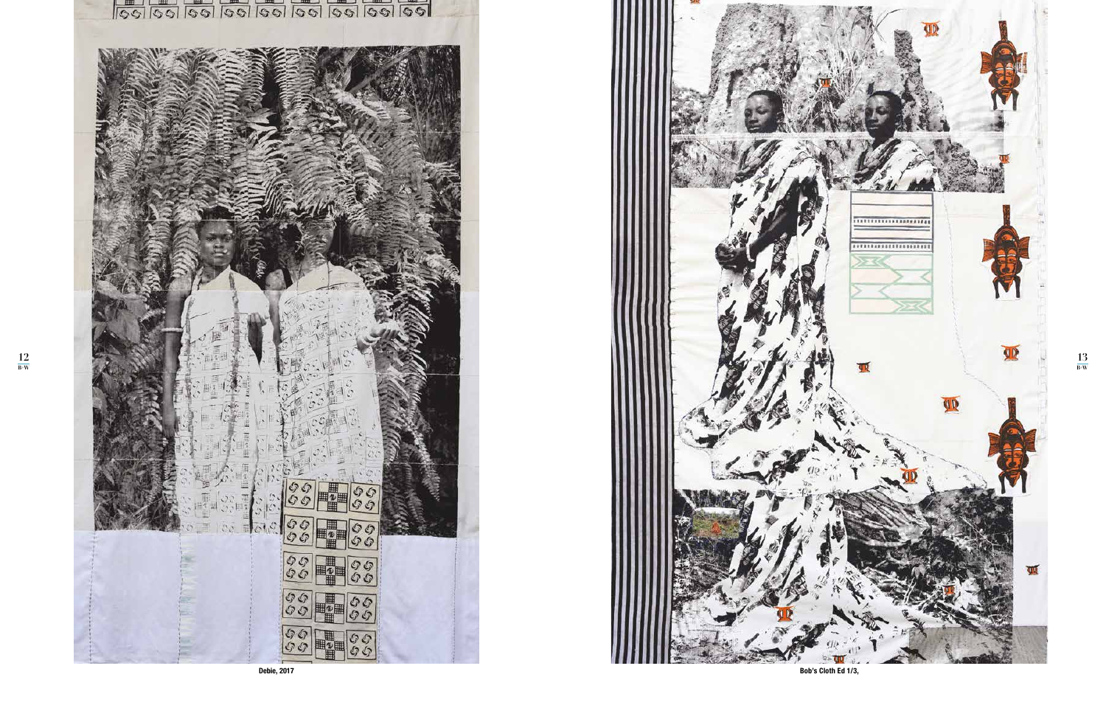**12 B+W**



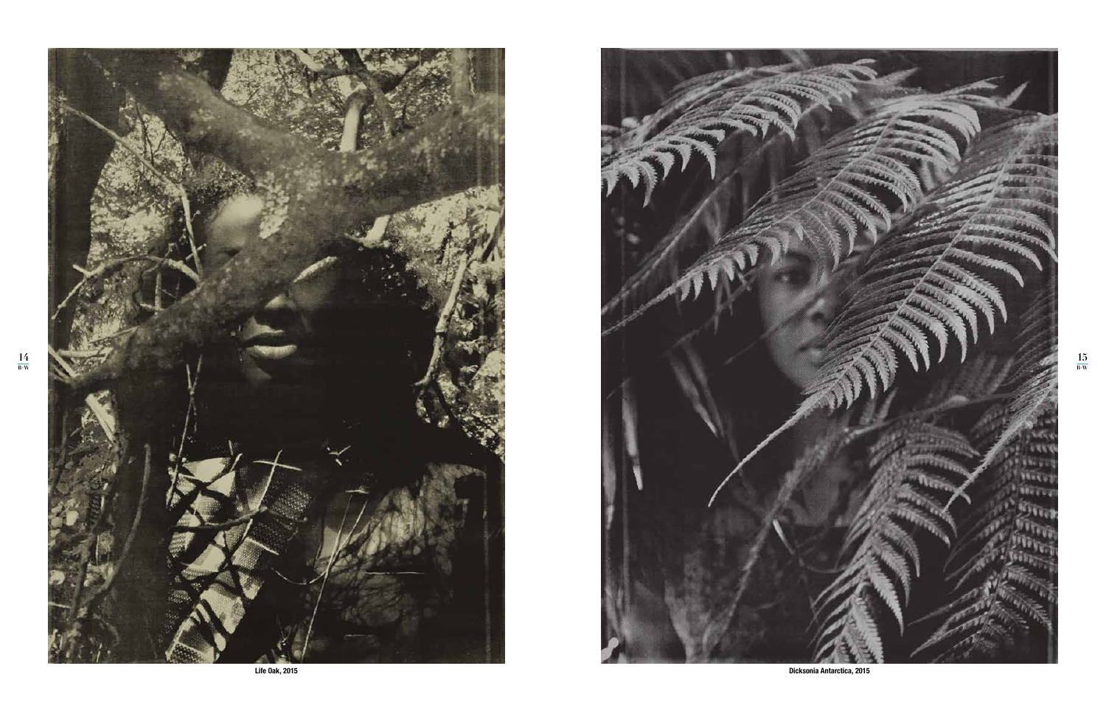